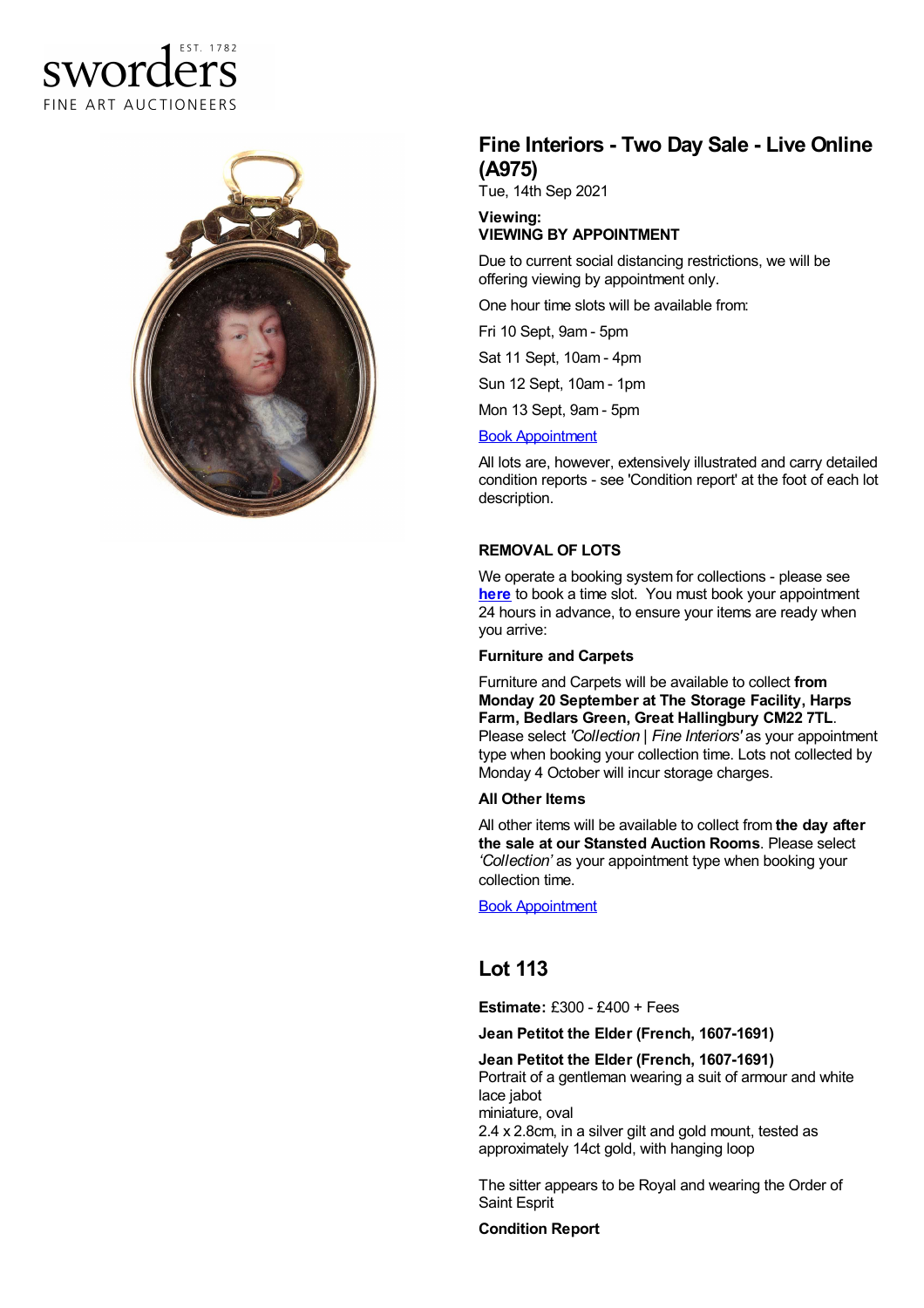# sworders FINE ART AUCTIONEERS



## **Fine Interiors - Two Day Sale - Live Online (A975)**

Tue, 14th Sep 2021

#### **Viewing: VIEWING BY APPOINTMENT**

Due to current social distancing restrictions, we will be offering viewing by appointment only.

One hour time slots will be available from:

Fri 10 Sept, 9am - 5pm

Sat 11 Sept, 10am - 4pm

Sun 12 Sept, 10am - 1pm

Mon 13 Sept, 9am - 5pm

#### Book [Appointment](https://www.sworder.co.uk/appointments/)

All lots are, however, extensively illustrated and carry detailed condition reports - see 'Condition report' at the foot of each lot description.

### **REMOVAL OF LOTS**

We operate a booking system for collections - please see **[here](https://www.sworder.co.uk/appointments/)** to book a time slot. You must book your appointment 24 hours in advance, to ensure your items are ready when you arrive:

#### **Furniture and Carpets**

Furniture and Carpets will be available to collect **from Monday 20 September at The Storage Facility, Harps Farm, Bedlars Green, Great Hallingbury CM22 7TL**. Please select *'Collection | Fine Interiors'* as your appointment type when booking your collection time. Lots not collected by Monday 4 October will incur storage charges.

#### **All Other Items**

All other items will be available to collect from **the day after the sale at our Stansted Auction Rooms**. Please select *'Collection'* as your appointment type when booking your collection time.

Book [Appointment](https://www.sworder.co.uk/appointments/)

## **Lot 113**

**Estimate:** £300 - £400 + Fees

#### **Jean Petitot the Elder (French, 1607-1691)**

**Jean Petitot the Elder (French, 1607-1691)** Portrait of a gentleman wearing a suit of armour and white

lace jabot miniature, oval

2.4 x 2.8cm, in a silver gilt and gold mount, tested as approximately 14ct gold, with hanging loop

The sitter appears to be Royal and wearing the Order of Saint Esprit

#### **Condition Report**